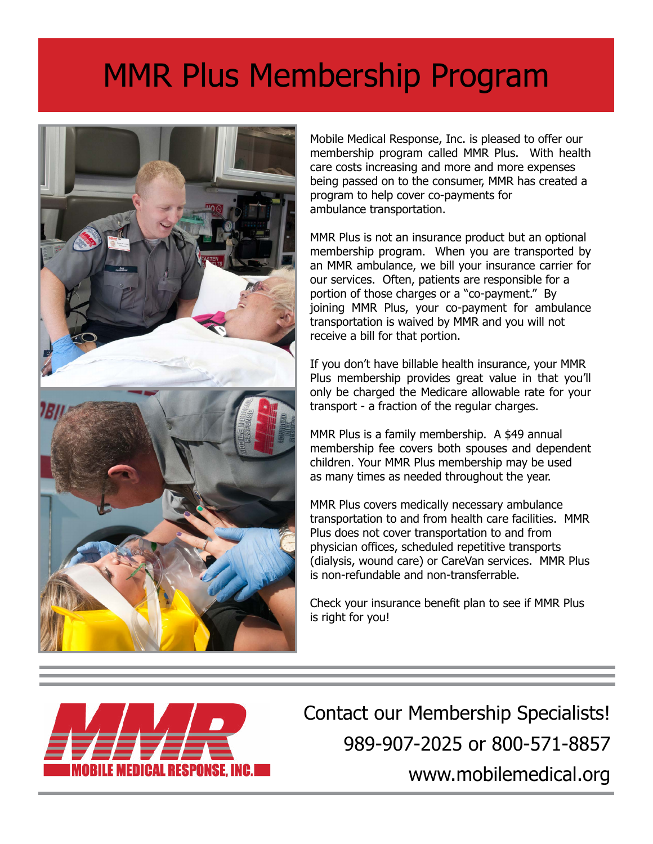## MMR Plus Membership Program



Mobile Medical Response, Inc. is pleased to offer our membership program called MMR Plus. With health care costs increasing and more and more expenses being passed on to the consumer, MMR has created a program to help cover co-payments for ambulance transportation.

MMR Plus is not an insurance product but an optional membership program. When you are transported by an MMR ambulance, we bill your insurance carrier for our services. Often, patients are responsible for a portion of those charges or a "co-payment." By joining MMR Plus, your co-payment for ambulance transportation is waived by MMR and you will not receive a bill for that portion.

If you don't have billable health insurance, your MMR Plus membership provides great value in that you'll only be charged the Medicare allowable rate for your transport - a fraction of the regular charges.

MMR Plus is a family membership. A \$49 annual membership fee covers both spouses and dependent children. Your MMR Plus membership may be used as many times as needed throughout the year.

MMR Plus covers medically necessary ambulance transportation to and from health care facilities. MMR Plus does not cover transportation to and from physician offices, scheduled repetitive transports (dialysis, wound care) or CareVan services. MMR Plus is non-refundable and non-transferrable.

Check your insurance benefit plan to see if MMR Plus is right for you!



 Contact our Membership Specialists! 989-907-2025 or 800-571-8857 www.mobilemedical.org